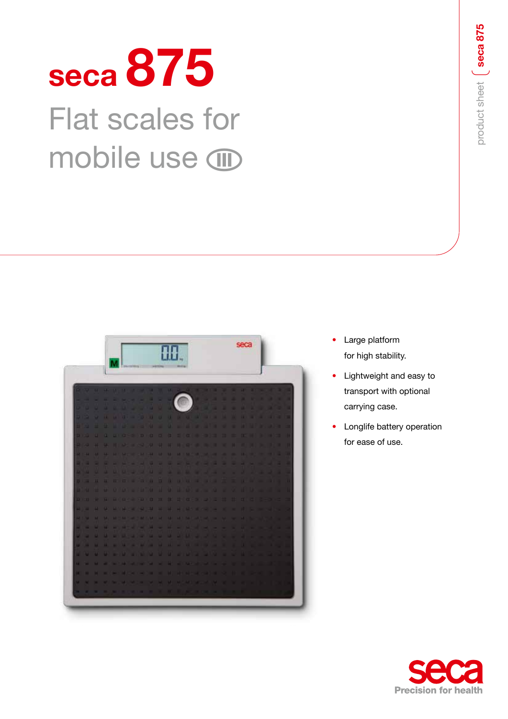# **seca 875** Flat scales for mobile use **combinent**



- Large platform for high stability.
- Lightweight and easy to transport with optional carrying case.
- Longlife battery operation for ease of use.